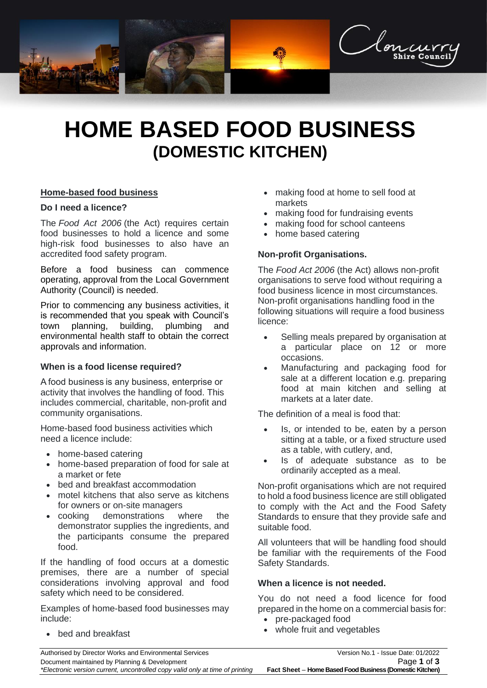

# **HOME BASED FOOD BUSINESS (DOMESTIC KITCHEN)**

## **Home-based food business**

#### **Do I need a licence?**

The *Food Act 2006* (the Act) requires certain food businesses to hold a licence and some high-risk food businesses to also have an accredited food safety program.

Before a food business can commence operating, approval from the Local Government Authority (Council) is needed.

Prior to commencing any business activities, it is recommended that you speak with Council's town planning, building, plumbing and environmental health staff to obtain the correct approvals and information.

#### **When is a food license required?**

A food business is any business, enterprise or activity that involves the handling of food. This includes commercial, charitable, non-profit and community organisations.

Home-based food business activities which need a licence include:

- home-based catering
- home-based preparation of food for sale at a market or fete
- bed and breakfast accommodation
- motel kitchens that also serve as kitchens for owners or on-site managers
- cooking demonstrations where the demonstrator supplies the ingredients, and the participants consume the prepared food.

If the handling of food occurs at a domestic premises, there are a number of special considerations involving approval and food safety which need to be considered.

Examples of home-based food businesses may include:

• bed and breakfast

- making food at home to sell food at markets
- making food for fundraising events
- making food for school canteens
- home based catering

## **Non-profit Organisations.**

The *Food Act 2006* (the Act) allows non-profit organisations to serve food without requiring a food business licence in most circumstances. Non-profit organisations handling food in the following situations will require a food business licence:

- Selling meals prepared by organisation at a particular place on 12 or more occasions.
- Manufacturing and packaging food for sale at a different location e.g. preparing food at main kitchen and selling at markets at a later date.

The definition of a meal is food that:

- Is, or intended to be, eaten by a person sitting at a table, or a fixed structure used as a table, with cutlery, and,
- Is of adequate substance as to be ordinarily accepted as a meal.

Non-profit organisations which are not required to hold a food business licence are still obligated to comply with the Act and the Food Safety Standards to ensure that they provide safe and suitable food.

All volunteers that will be handling food should be familiar with the requirements of the Food Safety Standards.

#### **When a licence is not needed.**

You do not need a food licence for food prepared in the home on a commercial basis for:

- pre-packaged food
- whole fruit and vegetables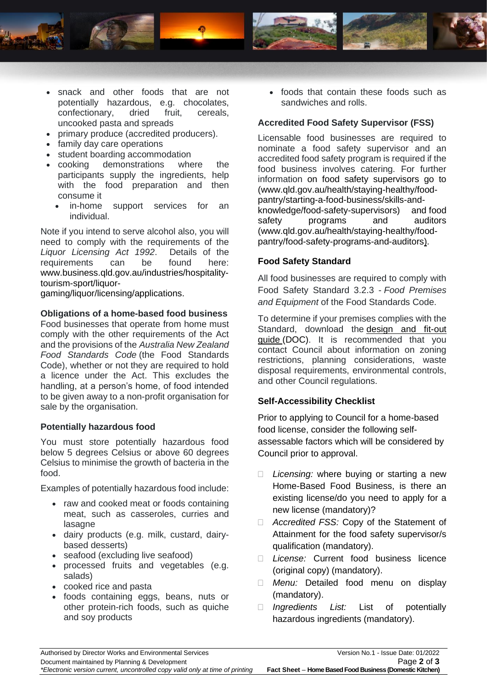

- snack and other foods that are not potentially hazardous, e.g. chocolates,<br>confectionary, dried fruit, cereals, confectionary, dried fruit, cereals, uncooked pasta and spreads
- primary produce (accredited producers).
- family day care operations
- student boarding accommodation
- cooking demonstrations where the participants supply the ingredients, help with the food preparation and then consume it
	- in-home support services for an individual.

Note if you intend to serve alcohol also, you will need to comply with the requirements of the *Liquor Licensing Act 1992*. Details of the requirements can be found here: [www.business.qld.gov.au/industries/hospitality](http://www.business.qld.gov.au/industries/hospitality-tourism-sport/liquor-gaming/liquor/licensing/applications)[tourism-sport/liquor-](http://www.business.qld.gov.au/industries/hospitality-tourism-sport/liquor-gaming/liquor/licensing/applications)

[gaming/liquor/licensing/applications.](http://www.business.qld.gov.au/industries/hospitality-tourism-sport/liquor-gaming/liquor/licensing/applications)

## **Obligations of a home-based food business**

Food businesses that operate from home must comply with the other requirements of the Act and the provisions of the *Australia New Zealand Food Standards Code* (the Food Standards Code), whether or not they are required to hold a licence under the Act. This excludes the handling, at a person's home, of food intended to be given away to a non-profit organisation for sale by the organisation.

#### **Potentially hazardous food**

You must store potentially hazardous food below 5 degrees Celsius or above 60 degrees Celsius to minimise the growth of bacteria in the food.

Examples of potentially hazardous food include:

- raw and cooked meat or foods containing meat, such as casseroles, curries and lasagne
- dairy products (e.g. milk, custard, dairybased desserts)
- seafood (excluding live seafood)
- processed fruits and vegetables (e.g. salads)
- cooked rice and pasta
- foods containing eggs, beans, nuts or other protein-rich foods, such as quiche and soy products

• foods that contain these foods such as sandwiches and rolls.

# **Accredited Food Safety Supervisor (FSS)**

Licensable food businesses are required to nominate a food safety supervisor and an accredited food safety program is required if the food business involves catering. For further information on food safety supervisors go to [\(www.qld.gov.au/health/staying-healthy/food](http://www.qld.gov.au/health/staying-healthy/food-pantry/starting-a-food-business/skills-and-knowledge/food-safety-supervisors)[pantry/starting-a-food-business/skills-and](http://www.qld.gov.au/health/staying-healthy/food-pantry/starting-a-food-business/skills-and-knowledge/food-safety-supervisors)[knowledge/food-safety-supervisors\)](http://www.qld.gov.au/health/staying-healthy/food-pantry/starting-a-food-business/skills-and-knowledge/food-safety-supervisors) and food safety programs and auditors [\(www.qld.gov.au/health/staying-healthy/food](http://www.qld.gov.au/health/staying-healthy/food-pantry/food-safety-programs-and-auditors)[pantry/food-safety-programs-and-auditors\)](http://www.qld.gov.au/health/staying-healthy/food-pantry/food-safety-programs-and-auditors).

# **Food Safety Standard**

All food businesses are required to comply with Food Safety Standard 3.2.3 - *Food Premises and Equipment* of the Food Standards Code.

To determine if your premises complies with the Standard, download the [design and fit-out](https://www.health.qld.gov.au/__data/assets/word_doc/0025/439810/design-fit-out-guide.doc)  guide [\(DOC\).](https://www.health.qld.gov.au/__data/assets/word_doc/0025/439810/design-fit-out-guide.doc) It is recommended that you contact Council about information on zoning restrictions, planning considerations, waste disposal requirements, environmental controls, and other Council regulations.

## **Self-Accessibility Checklist**

Prior to applying to Council for a home-based food license, consider the following selfassessable factors which will be considered by Council prior to approval.

- *Licensing:* where buying or starting a new Home-Based Food Business, is there an existing license/do you need to apply for a new license (mandatory)?
- *Accredited FSS:* Copy of the Statement of Attainment for the food safety supervisor/s qualification (mandatory).
- *License:* Current food business licence (original copy) (mandatory).
- *Menu:* Detailed food menu on display (mandatory).
- *Ingredients List:* List of potentially hazardous ingredients (mandatory).